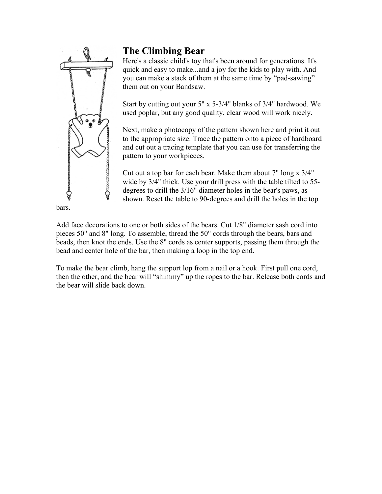

## **The Climbing Bear**

Here's a classic child's toy that's been around for generations. It's quick and easy to make...and a joy for the kids to play with. And you can make a stack of them at the same time by "pad-sawing" them out on your Bandsaw.

Start by cutting out your 5" x 5-3/4" blanks of 3/4" hardwood. We used poplar, but any good quality, clear wood will work nicely.

Next, make a photocopy of the pattern shown here and print it out to the appropriate size. Trace the pattern onto a piece of hardboard and cut out a tracing template that you can use for transferring the pattern to your workpieces.

Cut out a top bar for each bear. Make them about 7" long x 3/4" wide by 3/4" thick. Use your drill press with the table tilted to 55 degrees to drill the 3/16" diameter holes in the bear's paws, as shown. Reset the table to 90-degrees and drill the holes in the top

Add face decorations to one or both sides of the bears. Cut 1/8" diameter sash cord into pieces 50" and 8" long. To assemble, thread the 50" cords through the bears, bars and beads, then knot the ends. Use the 8" cords as center supports, passing them through the bead and center hole of the bar, then making a loop in the top end.

To make the bear climb, hang the support lop from a nail or a hook. First pull one cord, then the other, and the bear will "shimmy" up the ropes to the bar. Release both cords and the bear will slide back down.

bars.